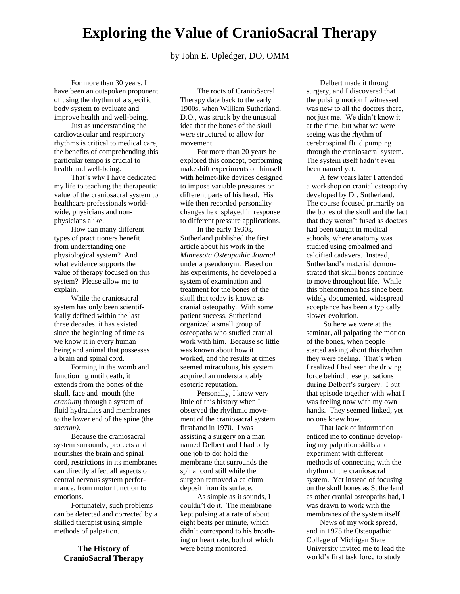## **Exploring the Value of CranioSacral Therapy**

by John E. Upledger, DO, OMM

For more than 30 years, I have been an outspoken proponent of using the rhythm of a specific body system to evaluate and improve health and well-being.

Just as understanding the cardiovascular and respiratory rhythms is critical to medical care, the benefits of comprehending this particular tempo is crucial to health and well-being.

That's why I have dedicated my life to teaching the therapeutic value of the craniosacral system to healthcare professionals worldwide, physicians and nonphysicians alike.

How can many different types of practitioners benefit from understanding one physiological system? And what evidence supports the value of therapy focused on this system? Please allow me to explain.

While the craniosacral system has only been scientifically defined within the last three decades, it has existed since the beginning of time as we know it in every human being and animal that possesses a brain and spinal cord.

Forming in the womb and functioning until death, it extends from the bones of the skull, face and mouth (the *cranium*) through a system of fluid hydraulics and membranes to the lower end of the spine (the *sacrum)*.

Because the craniosacral system surrounds, protects and nourishes the brain and spinal cord, restrictions in its membranes can directly affect all aspects of central nervous system performance, from motor function to emotions.

Fortunately, such problems can be detected and corrected by a skilled therapist using simple methods of palpation.

**The History of CranioSacral Therapy**

The roots of CranioSacral Therapy date back to the early 1900s, when William Sutherland, D.O., was struck by the unusual idea that the bones of the skull were structured to allow for movement.

For more than 20 years he explored this concept, performing makeshift experiments on himself with helmet-like devices designed to impose variable pressures on different parts of his head. His wife then recorded personality changes he displayed in response to different pressure applications.

In the early 1930s, Sutherland published the first article about his work in the *Minnesota Osteopathic Journal* under a pseudonym. Based on his experiments, he developed a system of examination and treatment for the bones of the skull that today is known as cranial osteopathy. With some patient success, Sutherland organized a small group of osteopaths who studied cranial work with him. Because so little was known about how it worked, and the results at times seemed miraculous, his system acquired an understandably esoteric reputation.

Personally, I knew very little of this history when I observed the rhythmic movement of the craniosacral system firsthand in 1970. I was assisting a surgery on a man named Delbert and I had only one job to do: hold the membrane that surrounds the spinal cord still while the surgeon removed a calcium deposit from its surface.

As simple as it sounds, I couldn't do it. The membrane kept pulsing at a rate of about eight beats per minute, which didn't correspond to his breathing or heart rate, both of which were being monitored.

Delbert made it through surgery, and I discovered that the pulsing motion I witnessed was new to all the doctors there, not just me. We didn't know it at the time, but what we were seeing was the rhythm of cerebrospinal fluid pumping through the craniosacral system. The system itself hadn't even been named yet.

A few years later I attended a workshop on cranial osteopathy developed by Dr. Sutherland. The course focused primarily on the bones of the skull and the fact that they weren't fused as doctors had been taught in medical schools, where anatomy was studied using embalmed and calcified cadavers. Instead, Sutherland's material demonstrated that skull bones continue to move throughout life. While this phenomenon has since been widely documented, widespread acceptance has been a typically slower evolution.

So here we were at the seminar, all palpating the motion of the bones, when people started asking about this rhythm they were feeling. That's when I realized I had seen the driving force behind these pulsations during Delbert's surgery. I put that episode together with what I was feeling now with my own hands. They seemed linked, yet no one knew how.

That lack of information enticed me to continue developing my palpation skills and experiment with different methods of connecting with the rhythm of the craniosacral system. Yet instead of focusing on the skull bones as Sutherland as other cranial osteopaths had, I was drawn to work with the membranes of the system itself.

News of my work spread, and in 1975 the Osteopathic College of Michigan State University invited me to lead the world's first task force to study